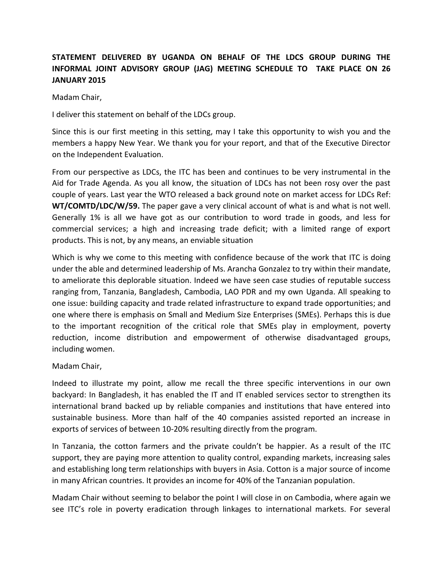## **STATEMENT DELIVERED BY UGANDA ON BEHALF OF THE LDCS GROUP DURING THE INFORMAL JOINT ADVISORY GROUP (JAG) MEETING SCHEDULE TO TAKE PLACE ON 26 JANUARY 2015**

Madam Chair,

I deliver this statement on behalf of the LDCs group.

Since this is our first meeting in this setting, may I take this opportunity to wish you and the members a happy New Year. We thank you for your report, and that of the Executive Director on the Independent Evaluation.

From our perspective as LDCs, the ITC has been and continues to be very instrumental in the Aid for Trade Agenda. As you all know, the situation of LDCs has not been rosy over the past couple of years. Last year the WTO released a back ground note on market access for LDCs Ref: **WT/COMTD/LDC/W/59.** The paper gave a very clinical account of what is and what is not well. Generally 1% is all we have got as our contribution to word trade in goods, and less for commercial services; a high and increasing trade deficit; with a limited range of export products. This is not, by any means, an enviable situation

Which is why we come to this meeting with confidence because of the work that ITC is doing under the able and determined leadership of Ms. Arancha Gonzalez to try within their mandate, to ameliorate this deplorable situation. Indeed we have seen case studies of reputable success ranging from, Tanzania, Bangladesh, Cambodia, LAO PDR and my own Uganda. All speaking to one issue: building capacity and trade related infrastructure to expand trade opportunities; and one where there is emphasis on Small and Medium Size Enterprises (SMEs). Perhaps this is due to the important recognition of the critical role that SMEs play in employment, poverty reduction, income distribution and empowerment of otherwise disadvantaged groups, including women.

Madam Chair,

Indeed to illustrate my point, allow me recall the three specific interventions in our own backyard: In Bangladesh, it has enabled the IT and IT enabled services sector to strengthen its international brand backed up by reliable companies and institutions that have entered into sustainable business. More than half of the 40 companies assisted reported an increase in exports of services of between 10-20% resulting directly from the program.

In Tanzania, the cotton farmers and the private couldn't be happier. As a result of the ITC support, they are paying more attention to quality control, expanding markets, increasing sales and establishing long term relationships with buyers in Asia. Cotton is a major source of income in many African countries. It provides an income for 40% of the Tanzanian population.

Madam Chair without seeming to belabor the point I will close in on Cambodia, where again we see ITC's role in poverty eradication through linkages to international markets. For several